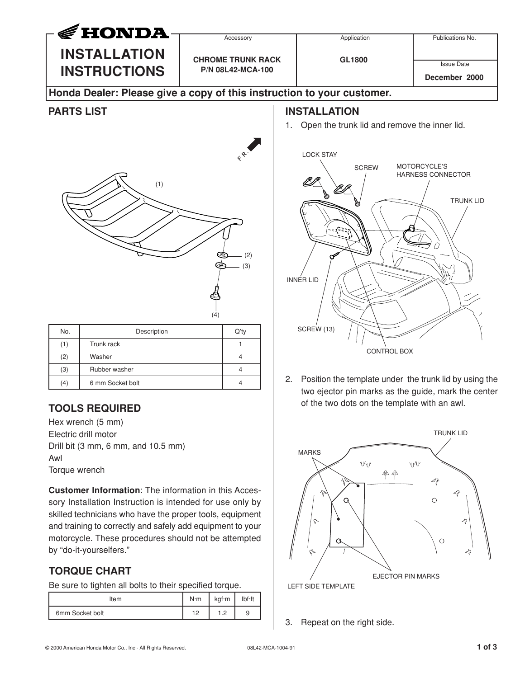

Electric drill motor Drill bit (3 mm, 6 mm, and 10.5 mm) Awl Torque wrench

**Customer Information**: The information in this Accessory Installation Instruction is intended for use only by skilled technicians who have the proper tools, equipment and training to correctly and safely add equipment to your motorcycle. These procedures should not be attempted by "do-it-yourselfers."

## **TORQUE CHART**

Be sure to tighten all bolts to their specified torque.

| Item            | $N \cdot m$              | kgf·m          | lbf·ft |
|-----------------|--------------------------|----------------|--------|
| 6mm Socket bolt | $\overline{1}$<br>$\sim$ | $\cdot$ $\sim$ | a      |



LEFT SIDE TEMPLATE

3. Repeat on the right side.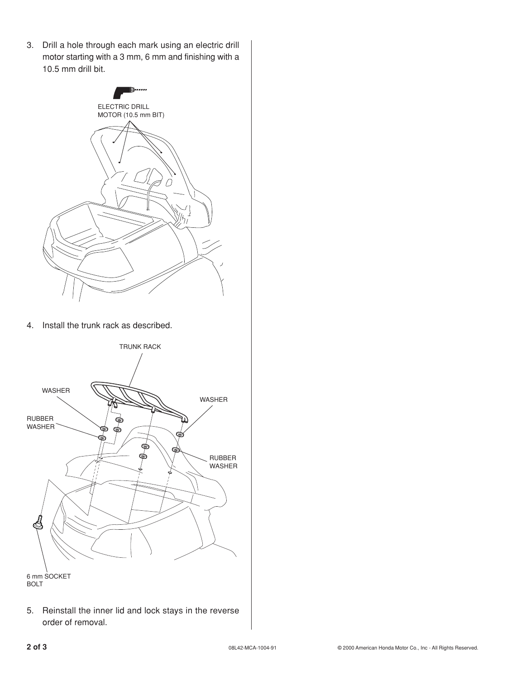3. Drill a hole through each mark using an electric drill motor starting with a 3 mm, 6 mm and finishing with a 10.5 mm drill bit.



4. Install the trunk rack as described.



5. Reinstall the inner lid and lock stays in the reverse order of removal.